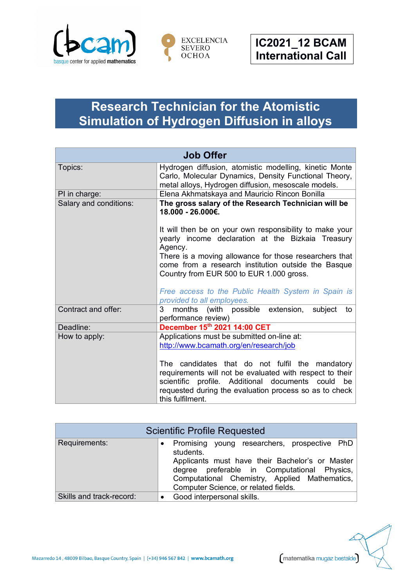



## **Research Technician for the Atomistic Simulation of Hydrogen Diffusion in alloys**

| <b>Job Offer</b>       |                                                                                                                                                                                                                                                                                                                                                                                                                                                       |
|------------------------|-------------------------------------------------------------------------------------------------------------------------------------------------------------------------------------------------------------------------------------------------------------------------------------------------------------------------------------------------------------------------------------------------------------------------------------------------------|
| Topics:                | Hydrogen diffusion, atomistic modelling, kinetic Monte<br>Carlo, Molecular Dynamics, Density Functional Theory,<br>metal alloys, Hydrogen diffusion, mesoscale models.                                                                                                                                                                                                                                                                                |
| PI in charge:          | Elena Akhmatskaya and Mauricio Rincon Bonilla                                                                                                                                                                                                                                                                                                                                                                                                         |
| Salary and conditions: | The gross salary of the Research Technician will be<br>18.000 - 26.000€.<br>It will then be on your own responsibility to make your<br>yearly income declaration at the Bizkaia Treasury<br>Agency.<br>There is a moving allowance for those researchers that<br>come from a research institution outside the Basque<br>Country from EUR 500 to EUR 1.000 gross.<br>Free access to the Public Health System in Spain is<br>provided to all employees. |
| Contract and offer:    | 3 months (with possible extension,<br>subject<br>to<br>performance review)                                                                                                                                                                                                                                                                                                                                                                            |
| Deadline:              | December 15th 2021 14:00 CET                                                                                                                                                                                                                                                                                                                                                                                                                          |
| How to apply:          | Applications must be submitted on-line at:<br>http://www.bcamath.org/en/research/job<br>The candidates that do not fulfil the mandatory<br>requirements will not be evaluated with respect to their<br>scientific profile. Additional documents could be<br>requested during the evaluation process so as to check<br>this fulfilment.                                                                                                                |

| <b>Scientific Profile Requested</b> |                                                                                                                                                                                                                                                      |  |
|-------------------------------------|------------------------------------------------------------------------------------------------------------------------------------------------------------------------------------------------------------------------------------------------------|--|
| Requirements:                       | Promising young researchers, prospective PhD<br>students.<br>Applicants must have their Bachelor's or Master<br>degree preferable in Computational Physics,<br>Computational Chemistry, Applied Mathematics,<br>Computer Science, or related fields. |  |
| Skills and track-record:            | Good interpersonal skills.                                                                                                                                                                                                                           |  |

Mazarredo 14, 48009 Bilbao, Basque Country, Spain | (+34) 946 567 842 | www.bcamath.org

matematika mugaz bestalde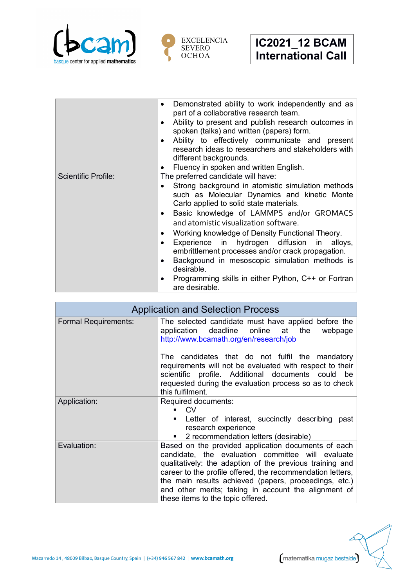



|                            | Demonstrated ability to work independently and as<br>part of a collaborative research team.<br>Ability to present and publish research outcomes in<br>٠<br>spoken (talks) and written (papers) form.<br>Ability to effectively communicate and present<br>research ideas to researchers and stakeholders with<br>different backgrounds.                                                                                                                                                                                                                                 |
|----------------------------|-------------------------------------------------------------------------------------------------------------------------------------------------------------------------------------------------------------------------------------------------------------------------------------------------------------------------------------------------------------------------------------------------------------------------------------------------------------------------------------------------------------------------------------------------------------------------|
|                            | Fluency in spoken and written English.                                                                                                                                                                                                                                                                                                                                                                                                                                                                                                                                  |
| <b>Scientific Profile:</b> | The preferred candidate will have:<br>Strong background in atomistic simulation methods<br>such as Molecular Dynamics and kinetic Monte<br>Carlo applied to solid state materials.<br>Basic knowledge of LAMMPS and/or GROMACS<br>and atomistic visualization software.<br>Working knowledge of Density Functional Theory.<br>Experience in hydrogen diffusion in alloys,<br>embrittlement processes and/or crack propagation.<br>Background in mesoscopic simulation methods is<br>desirable.<br>Programming skills in either Python, C++ or Fortran<br>are desirable. |

| <b>Application and Selection Process</b> |                                                                                                                                                                                                                                                                                                                                                                                          |
|------------------------------------------|------------------------------------------------------------------------------------------------------------------------------------------------------------------------------------------------------------------------------------------------------------------------------------------------------------------------------------------------------------------------------------------|
| <b>Formal Requirements:</b>              | The selected candidate must have applied before the<br>application deadline online at the<br>webpage<br>http://www.bcamath.org/en/research/job                                                                                                                                                                                                                                           |
|                                          | The candidates that do not fulfil the mandatory<br>requirements will not be evaluated with respect to their<br>scientific profile. Additional documents could be<br>requested during the evaluation process so as to check<br>this fulfilment.                                                                                                                                           |
| Application:                             | Required documents:<br>CV <sub>.</sub><br>Letter of interest, succinctly describing past<br>research experience<br>2 recommendation letters (desirable)<br>$\mathbf{u}$                                                                                                                                                                                                                  |
| Evaluation:                              | Based on the provided application documents of each<br>candidate, the evaluation committee will evaluate<br>qualitatively: the adaption of the previous training and<br>career to the profile offered, the recommendation letters,<br>the main results achieved (papers, proceedings, etc.)<br>and other merits; taking in account the alignment of<br>these items to the topic offered. |



matematika mugaz bestalde